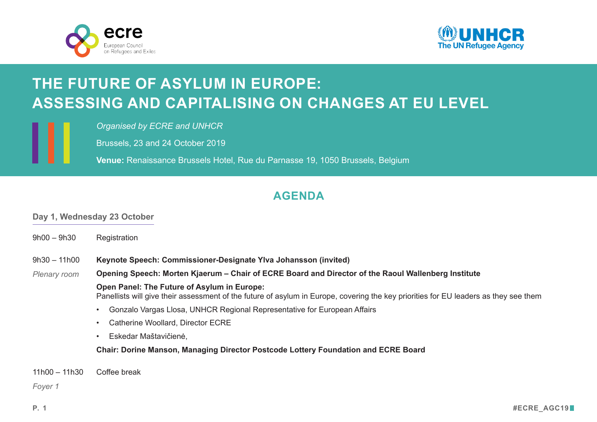



# **THE FUTURE OF ASYLUM IN EUROPE: ASSESSING AND CAPITALISING ON CHANGES AT EU LEVEL**

*Organised by ECRE and UNHCR*

Brussels, 23 and 24 October 2019

**Venue:** Renaissance Brussels Hotel, Rue du Parnasse 19, 1050 Brussels, Belgium

## **AGENDA**

#### **Day 1, Wednesday 23 October**

 $9h00 - 9h30$ Registration **Keynote Speech: Commissioner-Designate Home Affairs, Ylva Johansson (invited)** Opening Speech: Morten Kjaerum - Director of the Raoul Wallenberg InstituteDGKDLURI(5(RDUG **Open Panel: The Future of Asylum in Europe:**  Panellists will give their assessment of the future of asylum in Europe, covering the key priorities for EU leaders as they see them • Gonzalo Vargas Llosa, UNHCR Regional Representative for European Affairs • Catherine Woollard, Director ECRE • Eskedar Maštavičienė, Representative, European coalition of refugee/migrant-led networks **Chair: Dorine Manson, Managing Director Dutch Charity Lotteries and ECRE Board member**  $9h30 - 11h00$ *Plenary room Brussels*

11h00 – 11h30 Coffee break

*Foyer 1*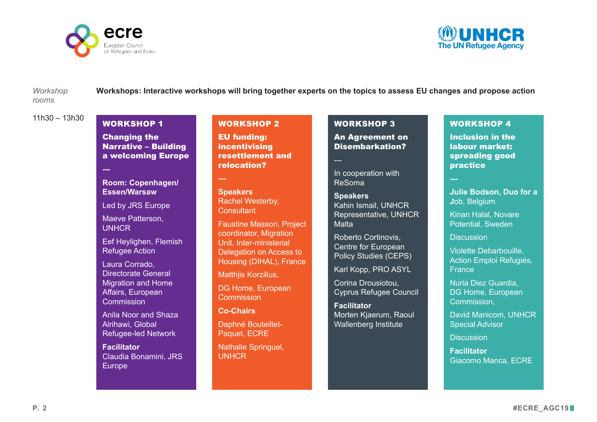



*rooms*

*Workshop* **Workshops: Interactive workshops will bring together experts on the topics to assess EU changes and propose action** 

 $11h30 - 13h30$ 

#### WORKSHOP 1

**Changing the** Narrative – Building a welcoming Europe

**---**

Room: Copenhagen/ Essen/Warsaw

*Led by JRS Europe* 

Maeve Patterson, **UNHCR** 

Eef Heylighen, Flemish Refugee Action

Laura Corrado, Directorate General Migration and Home Affairs, European **Commission** 

Anila Noor and Shaza Alrihawi, Global Refugee-led Network

**Facilitator** Claudia Bonamini, JRS Europe

#### WORKSHOP 2

EU Funding: **Incentivising** resettlement and relocation?

Room: Plenary

**Speakers** Rachel Westerby, **Consultant** 

Faustine Masson, Project coordinator, Migration Unit, Interministerial Delegation on Access to Housing (DIHAL), France

Matthjis Korzilius,

DG Home, European **Commission** 

**Co-Chairs**

Daphné Bouteillet-Paquet, ECRE

Nathalie Springuel, UNHCR

#### WORKSHOP 3

An Agreement on Disembarkation?

Room: Madrid

*In cooperation with ReSOMA*

**Speakers** Kahin Ismail, Representative, UNHCR Malta

Roberto Cortinovis, Centre for European Policy Studies (CEPS)

Karl Kopp, PRO ASYL

Corina Drousiotou, Cyprus Refugee Council

**Facilitator** Morten Kjaerum, Raoul Wallenberg Institute

#### WORKSHOP 4

Inclusion in the Labour Market: Spreading good practice

#### Room: Lisbon

**Julie Bodson, Duo for a J**ob, Belgium

Kinan Halal, Novare Potential, Sweden

**Discussion** 

Violette Debarbouille, Action Emploi Refugiés, **France** 

Nuria Diez Guardia, DG Home, European Commission,

David Manicom, UNHCR Special Advisor

**Discussion** 

**Facilitator**  Giacomo Manca, ECRE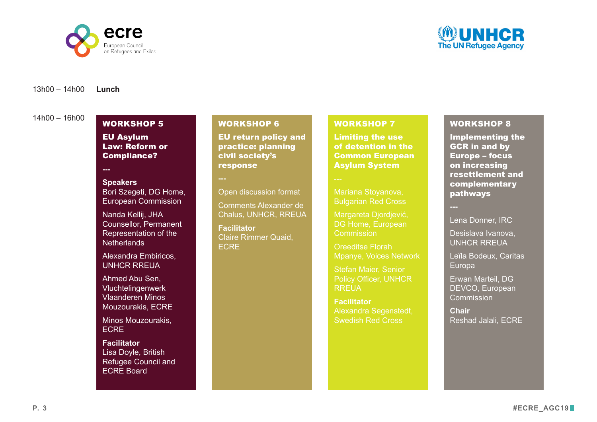



**Lunch** 13h00 – 14h00

 $14h00 - 16h00$ 

### WORKSHOP 5

EU Asylum Law: Reform or Compliance?

**---**

#### **Room:**

**Speakers**  Bori Szegeti, DG Home, European Commission

Nanda Kellij, JHA Counsellor, Permanent Representation of the Netherlands

Alexandra Embiricos, UNHCR RREUA

Ahmed Abu Sen, Vluchtelingenwerk Vlaanderen

Minos Mouzourakis, **ECRE** 

**Facilitator** Lisa Doyle, British Refugee Council and ECRE Board

#### WORKSHOP 6

EU Return Policy and Practice: Planning civil society's response

#### **Room:**

Open discussion format

Comments Alexander de Chalus, UNHCR, RREUA

**Facilitator** Claire Rimmer Quaid, ECRE

#### WORKSHOP 7

Limiting the Use of Detention in the Common European Asylum System

Room: Copenhagen/ Essen/Warsaw

*Led by Red Cross*

Mariana Stoyanova, Bulgarian Red Cross

Margareta Diordiević, DG Home, European **Commission** 

Oreeditse Florah Mpanye, Voices Network

Stefan Maier, UNHCR **RREUA** 

**Facilitator** Alexandra Segenstedt, Swedish Red Cross

#### WORKSHOP 8

Implementing the GCR in and by Europe – Focus on increasing resettlement and complementary pathways

Room: Plenary

Lena Donner, IRC

Desislava Ivanova, UNHCR RREUA

Leïla Bodeux, Caritas Europa

Erwan Marteil, DG DEVCO, European **Commission** 

**Chai**r Reshad Jalali, ECRE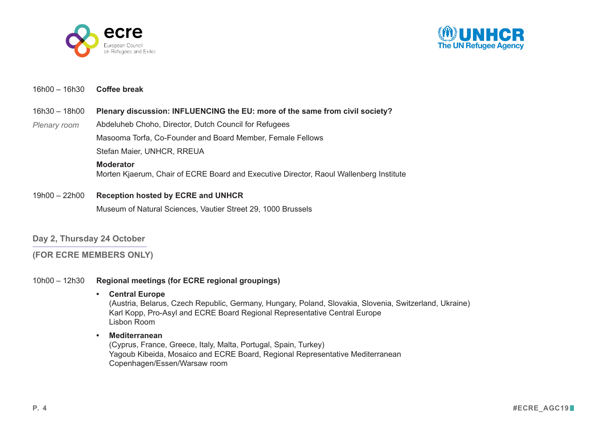



#### 16h00 – 16h30 **Coffee break**

#### 16h30 – 18h00 **Plenary discussion: INFLUENCING the EU: more of the same from civil society?**

Abdeluheb Choho, Director, Dutch Council for Refugees Masooma Torfa, Co-Founder and Board Member, Female Fellows Stefan Maier, Senior Policy Officer, UNHCR RREUA *Plenary room* 

#### **Moderator**

Morten Kjaerum, Director Raoul Wallenberg Institute and Chair of ECRE Board

#### 19h00 – 22h00 **Reception hosted by ECRE and UNHCR**

Museum of Natural Sciences, Vautier Street 29, 1000 Brussels

#### **Day 2, Thursday 24 October**

**(FOR ECRE MEMBERS ONLY)**

#### 10h00 – 12h30 **Regional meetings (for ECRE regional groupings)**

#### **• Central Europe**

(Austria, Belarus, Czech Republic, Germany, Hungary, Poland, Slovakia, Slovenia, Switzerland, Ukraine) Karl Kopp, Pro-Asyl and ECRE Board Regional Representative Central Europe Lisbon Room

#### **• Mediterranean**

(Cyprus, France, Greece, Italy, Malta, Portugal, Spain, Turkey) Yagoub Kibeida, Mosaico and ECRE Board Regional Representative Mediterranean Copenhagen/Essen/Warsaw room